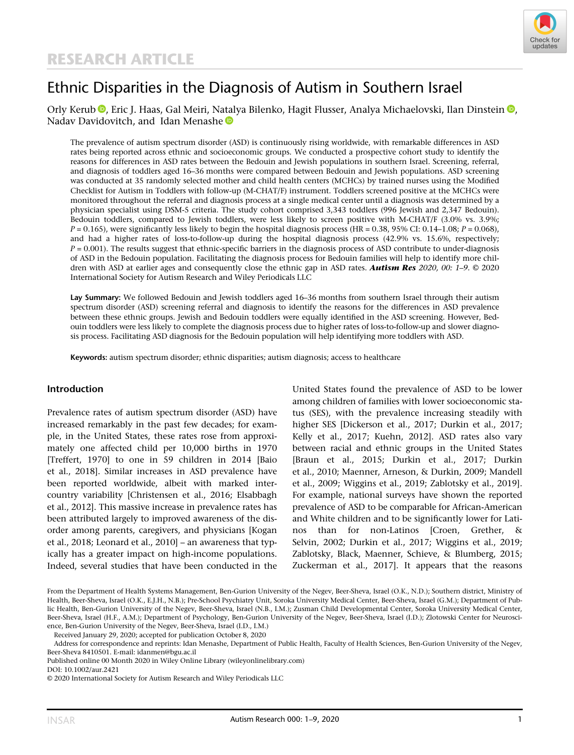

# Ethnic Disparities in the Diagnosis of Autism in Southern Israel

# Orly Kerub <sup>®</sup>[,](https://orcid.org/0000-0003-2603-0040) Eric J. Haas, Gal Meiri, Natalya Bilenko, Hagit Flusser, Analya Michaelovski, Ilan Dinstein ®, Nadav Davidovitch, and Idan Menashe

The prevalence of autism spectrum disorder (ASD) is continuously rising worldwide, with remarkable differences in ASD rates being reported across ethnic and socioeconomic groups. We conducted a prospective cohort study to identify the reasons for differences in ASD rates between the Bedouin and Jewish populations in southern Israel. Screening, referral, and diagnosis of toddlers aged 16–36 months were compared between Bedouin and Jewish populations. ASD screening was conducted at 35 randomly selected mother and child health centers (MCHCs) by trained nurses using the Modified Checklist for Autism in Toddlers with follow-up (M-CHAT/F) instrument. Toddlers screened positive at the MCHCs were monitored throughout the referral and diagnosis process at a single medical center until a diagnosis was determined by a physician specialist using DSM-5 criteria. The study cohort comprised 3,343 toddlers (996 Jewish and 2,347 Bedouin). Bedouin toddlers, compared to Jewish toddlers, were less likely to screen positive with M-CHAT/F (3.0% vs. 3.9%;  $P = 0.165$ ), were significantly less likely to begin the hospital diagnosis process (HR = 0.38, 95% CI: 0.14–1.08;  $P = 0.068$ ), and had a higher rates of loss-to-follow-up during the hospital diagnosis process (42.9% vs. 15.6%, respectively;  $P = 0.001$ ). The results suggest that ethnic-specific barriers in the diagnosis process of ASD contribute to under-diagnosis of ASD in the Bedouin population. Facilitating the diagnosis process for Bedouin families will help to identify more children with ASD at earlier ages and consequently close the ethnic gap in ASD rates. Autism Res 2020, 00: 1-9. © 2020 International Society for Autism Research and Wiley Periodicals LLC

Lay Summary: We followed Bedouin and Jewish toddlers aged 16-36 months from southern Israel through their autism spectrum disorder (ASD) screening referral and diagnosis to identify the reasons for the differences in ASD prevalence between these ethnic groups. Jewish and Bedouin toddlers were equally identified in the ASD screening. However, Bedouin toddlers were less likely to complete the diagnosis process due to higher rates of loss-to-follow-up and slower diagnosis process. Facilitating ASD diagnosis for the Bedouin population will help identifying more toddlers with ASD.

Keywords: autism spectrum disorder; ethnic disparities; autism diagnosis; access to healthcare

#### Introduction

Prevalence rates of autism spectrum disorder (ASD) have increased remarkably in the past few decades; for example, in the United States, these rates rose from approximately one affected child per 10,000 births in 1970 [Treffert, 1970] to one in 59 children in 2014 [Baio et al., 2018]. Similar increases in ASD prevalence have been reported worldwide, albeit with marked intercountry variability [Christensen et al., 2016; Elsabbagh et al., 2012]. This massive increase in prevalence rates has been attributed largely to improved awareness of the disorder among parents, caregivers, and physicians [Kogan et al., 2018; Leonard et al., 2010] – an awareness that typically has a greater impact on high-income populations. Indeed, several studies that have been conducted in the United States found the prevalence of ASD to be lower among children of families with lower socioeconomic status (SES), with the prevalence increasing steadily with higher SES [Dickerson et al., 2017; Durkin et al., 2017; Kelly et al., 2017; Kuehn, 2012]. ASD rates also vary between racial and ethnic groups in the United States [Braun et al., 2015; Durkin et al., 2017; Durkin et al., 2010; Maenner, Arneson, & Durkin, 2009; Mandell et al., 2009; Wiggins et al., 2019; Zablotsky et al., 2019]. For example, national surveys have shown the reported prevalence of ASD to be comparable for African-American and White children and to be significantly lower for Latinos than for non-Latinos [Croen, Grether, & Selvin, 2002; Durkin et al., 2017; Wiggins et al., 2019; Zablotsky, Black, Maenner, Schieve, & Blumberg, 2015; Zuckerman et al., 2017]. It appears that the reasons

From the Department of Health Systems Management, Ben-Gurion University of the Negev, Beer-Sheva, Israel (O.K., N.D.); Southern district, Ministry of Health, Beer-Sheva, Israel (O.K., E.J.H., N.B.); Pre-School Psychiatry Unit, Soroka University Medical Center, Beer-Sheva, Israel (G.M.); Department of Public Health, Ben-Gurion University of the Negev, Beer-Sheva, Israel (N.B., I.M.); Zusman Child Developmental Center, Soroka University Medical Center, Beer-Sheva, Israel (H.F., A.M.); Department of Psychology, Ben-Gurion University of the Negev, Beer-Sheva, Israel (I.D.); Zlotowski Center for Neuroscience, Ben-Gurion University of the Negev, Beer-Sheva, Israel (I.D., I.M.)

Received January 29, 2020; accepted for publication October 8, 2020

Address for correspondence and reprints: Idan Menashe, Department of Public Health, Faculty of Health Sciences, Ben-Gurion University of the Negev, Beer-Sheva 8410501. E-mail: [idanmen@bgu.ac.il](mailto:idanmen@bgu.ac.il)

Published online 00 Month 2020 in Wiley Online Library (wileyonlinelibrary.com)

DOI: 10.1002/aur.2421

<sup>© 2020</sup> International Society for Autism Research and Wiley Periodicals LLC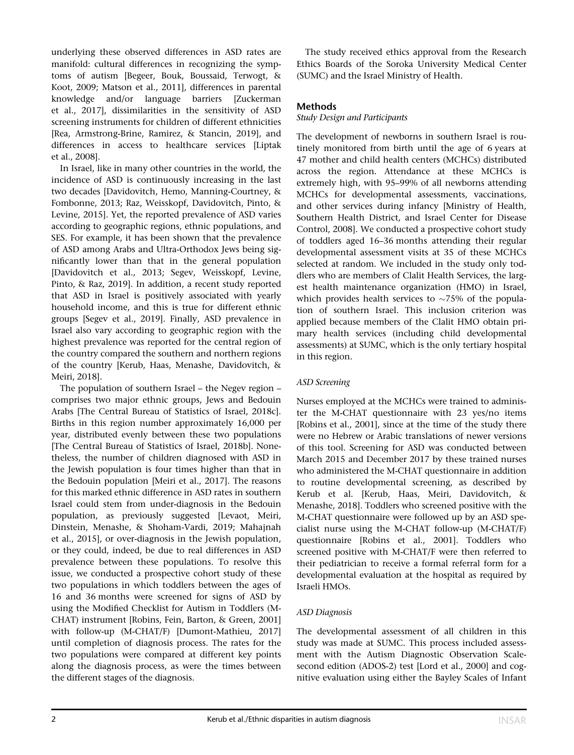underlying these observed differences in ASD rates are manifold: cultural differences in recognizing the symptoms of autism [Begeer, Bouk, Boussaid, Terwogt, & Koot, 2009; Matson et al., 2011], differences in parental knowledge and/or language barriers [Zuckerman et al., 2017], dissimilarities in the sensitivity of ASD screening instruments for children of different ethnicities [Rea, Armstrong-Brine, Ramirez, & Stancin, 2019], and differences in access to healthcare services [Liptak et al., 2008].

In Israel, like in many other countries in the world, the incidence of ASD is continuously increasing in the last two decades [Davidovitch, Hemo, Manning-Courtney, & Fombonne, 2013; Raz, Weisskopf, Davidovitch, Pinto, & Levine, 2015]. Yet, the reported prevalence of ASD varies according to geographic regions, ethnic populations, and SES. For example, it has been shown that the prevalence of ASD among Arabs and Ultra-Orthodox Jews being significantly lower than that in the general population [Davidovitch et al., 2013; Segev, Weisskopf, Levine, Pinto, & Raz, 2019]. In addition, a recent study reported that ASD in Israel is positively associated with yearly household income, and this is true for different ethnic groups [Segev et al., 2019]. Finally, ASD prevalence in Israel also vary according to geographic region with the highest prevalence was reported for the central region of the country compared the southern and northern regions of the country [Kerub, Haas, Menashe, Davidovitch, & Meiri, 2018].

The population of southern Israel – the Negev region – comprises two major ethnic groups, Jews and Bedouin Arabs [The Central Bureau of Statistics of Israel, 2018c]. Births in this region number approximately 16,000 per year, distributed evenly between these two populations [The Central Bureau of Statistics of Israel, 2018b]. Nonetheless, the number of children diagnosed with ASD in the Jewish population is four times higher than that in the Bedouin population [Meiri et al., 2017]. The reasons for this marked ethnic difference in ASD rates in southern Israel could stem from under-diagnosis in the Bedouin population, as previously suggested [Levaot, Meiri, Dinstein, Menashe, & Shoham-Vardi, 2019; Mahajnah et al., 2015], or over-diagnosis in the Jewish population, or they could, indeed, be due to real differences in ASD prevalence between these populations. To resolve this issue, we conducted a prospective cohort study of these two populations in which toddlers between the ages of 16 and 36 months were screened for signs of ASD by using the Modified Checklist for Autism in Toddlers (M-CHAT) instrument [Robins, Fein, Barton, & Green, 2001] with follow-up (M-CHAT/F) [Dumont-Mathieu, 2017] until completion of diagnosis process. The rates for the two populations were compared at different key points along the diagnosis process, as were the times between the different stages of the diagnosis.

The study received ethics approval from the Research Ethics Boards of the Soroka University Medical Center (SUMC) and the Israel Ministry of Health.

# Methods

# Study Design and Participants

The development of newborns in southern Israel is routinely monitored from birth until the age of 6 years at 47 mother and child health centers (MCHCs) distributed across the region. Attendance at these MCHCs is extremely high, with 95–99% of all newborns attending MCHCs for developmental assessments, vaccinations, and other services during infancy [Ministry of Health, Southern Health District, and Israel Center for Disease Control, 2008]. We conducted a prospective cohort study of toddlers aged 16–36 months attending their regular developmental assessment visits at 35 of these MCHCs selected at random. We included in the study only toddlers who are members of Clalit Health Services, the largest health maintenance organization (HMO) in Israel, which provides health services to  $\sim$ 75% of the population of southern Israel. This inclusion criterion was applied because members of the Clalit HMO obtain primary health services (including child developmental assessments) at SUMC, which is the only tertiary hospital in this region.

# ASD Screening

Nurses employed at the MCHCs were trained to administer the M-CHAT questionnaire with 23 yes/no items [Robins et al., 2001], since at the time of the study there were no Hebrew or Arabic translations of newer versions of this tool. Screening for ASD was conducted between March 2015 and December 2017 by these trained nurses who administered the M-CHAT questionnaire in addition to routine developmental screening, as described by Kerub et al. [Kerub, Haas, Meiri, Davidovitch, & Menashe, 2018]. Toddlers who screened positive with the M-CHAT questionnaire were followed up by an ASD specialist nurse using the M-CHAT follow-up (M-CHAT/F) questionnaire [Robins et al., 2001]. Toddlers who screened positive with M-CHAT/F were then referred to their pediatrician to receive a formal referral form for a developmental evaluation at the hospital as required by Israeli HMOs.

# ASD Diagnosis

The developmental assessment of all children in this study was made at SUMC. This process included assessment with the Autism Diagnostic Observation Scalesecond edition (ADOS-2) test [Lord et al., 2000] and cognitive evaluation using either the Bayley Scales of Infant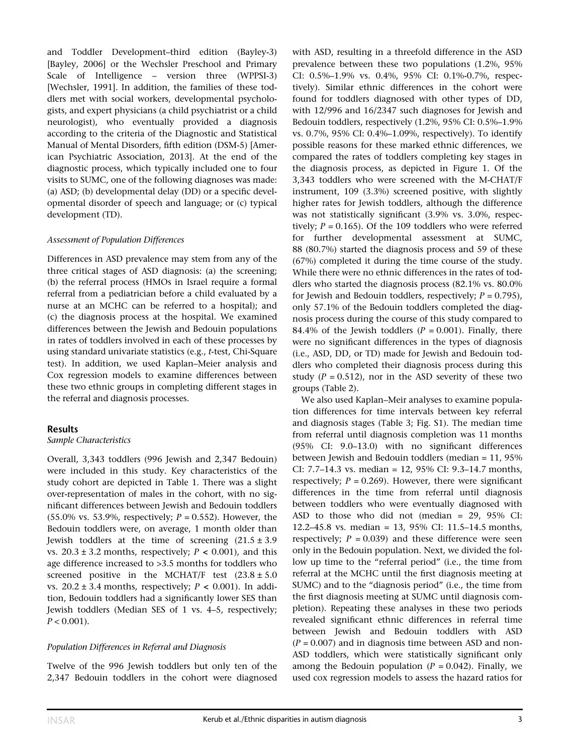and Toddler Development–third edition (Bayley-3) [Bayley, 2006] or the Wechsler Preschool and Primary Scale of Intelligence – version three (WPPSI-3) [Wechsler, 1991]. In addition, the families of these toddlers met with social workers, developmental psychologists, and expert physicians (a child psychiatrist or a child neurologist), who eventually provided a diagnosis according to the criteria of the Diagnostic and Statistical Manual of Mental Disorders, fifth edition (DSM-5) [American Psychiatric Association, 2013]. At the end of the diagnostic process, which typically included one to four visits to SUMC, one of the following diagnoses was made: (a) ASD; (b) developmental delay (DD) or a specific developmental disorder of speech and language; or (c) typical development (TD).

## Assessment of Population Differences

Differences in ASD prevalence may stem from any of the three critical stages of ASD diagnosis: (a) the screening; (b) the referral process (HMOs in Israel require a formal referral from a pediatrician before a child evaluated by a nurse at an MCHC can be referred to a hospital); and (c) the diagnosis process at the hospital. We examined differences between the Jewish and Bedouin populations in rates of toddlers involved in each of these processes by using standard univariate statistics (e.g., t-test, Chi-Square test). In addition, we used Kaplan–Meier analysis and Cox regression models to examine differences between these two ethnic groups in completing different stages in the referral and diagnosis processes.

# Results

#### Sample Characteristics

Overall, 3,343 toddlers (996 Jewish and 2,347 Bedouin) were included in this study. Key characteristics of the study cohort are depicted in Table 1. There was a slight over-representation of males in the cohort, with no significant differences between Jewish and Bedouin toddlers (55.0% vs. 53.9%, respectively;  $P = 0.552$ ). However, the Bedouin toddlers were, on average, 1 month older than Jewish toddlers at the time of screening  $(21.5 \pm 3.9)$ vs.  $20.3 \pm 3.2$  months, respectively;  $P < 0.001$ ), and this age difference increased to >3.5 months for toddlers who screened positive in the MCHAT/F test  $(23.8 \pm 5.0)$ vs.  $20.2 \pm 3.4$  months, respectively;  $P < 0.001$ ). In addition, Bedouin toddlers had a significantly lower SES than Jewish toddlers (Median SES of 1 vs. 4–5, respectively;  $P < 0.001$ ).

# Population Differences in Referral and Diagnosis

Twelve of the 996 Jewish toddlers but only ten of the 2,347 Bedouin toddlers in the cohort were diagnosed with ASD, resulting in a threefold difference in the ASD prevalence between these two populations (1.2%, 95% CI: 0.5%–1.9% vs. 0.4%, 95% CI: 0.1%-0.7%, respectively). Similar ethnic differences in the cohort were found for toddlers diagnosed with other types of DD, with 12/996 and 16/2347 such diagnoses for Jewish and Bedouin toddlers, respectively (1.2%, 95% CI: 0.5%–1.9% vs. 0.7%, 95% CI: 0.4%–1.09%, respectively). To identify possible reasons for these marked ethnic differences, we compared the rates of toddlers completing key stages in the diagnosis process, as depicted in Figure 1. Of the 3,343 toddlers who were screened with the M-CHAT/F instrument, 109 (3.3%) screened positive, with slightly higher rates for Jewish toddlers, although the difference was not statistically significant (3.9% vs. 3.0%, respectively;  $P = 0.165$ ). Of the 109 toddlers who were referred for further developmental assessment at SUMC, 88 (80.7%) started the diagnosis process and 59 of these (67%) completed it during the time course of the study. While there were no ethnic differences in the rates of toddlers who started the diagnosis process (82.1% vs. 80.0% for Jewish and Bedouin toddlers, respectively;  $P = 0.795$ ), only 57.1% of the Bedouin toddlers completed the diagnosis process during the course of this study compared to 84.4% of the Jewish toddlers ( $P = 0.001$ ). Finally, there were no significant differences in the types of diagnosis (i.e., ASD, DD, or TD) made for Jewish and Bedouin toddlers who completed their diagnosis process during this study ( $P = 0.512$ ), nor in the ASD severity of these two groups (Table 2).

We also used Kaplan–Meir analyses to examine population differences for time intervals between key referral and diagnosis stages (Table 3; Fig. S1). The median time from referral until diagnosis completion was 11 months (95% CI: 9.0–13.0) with no significant differences between Jewish and Bedouin toddlers (median = 11, 95% CI: 7.7–14.3 vs. median = 12, 95% CI: 9.3–14.7 months, respectively;  $P = 0.269$ ). However, there were significant differences in the time from referral until diagnosis between toddlers who were eventually diagnosed with ASD to those who did not (median = 29, 95% CI: 12.2–45.8 vs. median = 13, 95% CI: 11.5–14.5 months, respectively;  $P = 0.039$ ) and these difference were seen only in the Bedouin population. Next, we divided the follow up time to the "referral period" (i.e., the time from referral at the MCHC until the first diagnosis meeting at SUMC) and to the "diagnosis period" (i.e., the time from the first diagnosis meeting at SUMC until diagnosis completion). Repeating these analyses in these two periods revealed significant ethnic differences in referral time between Jewish and Bedouin toddlers with ASD  $(P = 0.007)$  and in diagnosis time between ASD and non-ASD toddlers, which were statistically significant only among the Bedouin population  $(P = 0.042)$ . Finally, we used cox regression models to assess the hazard ratios for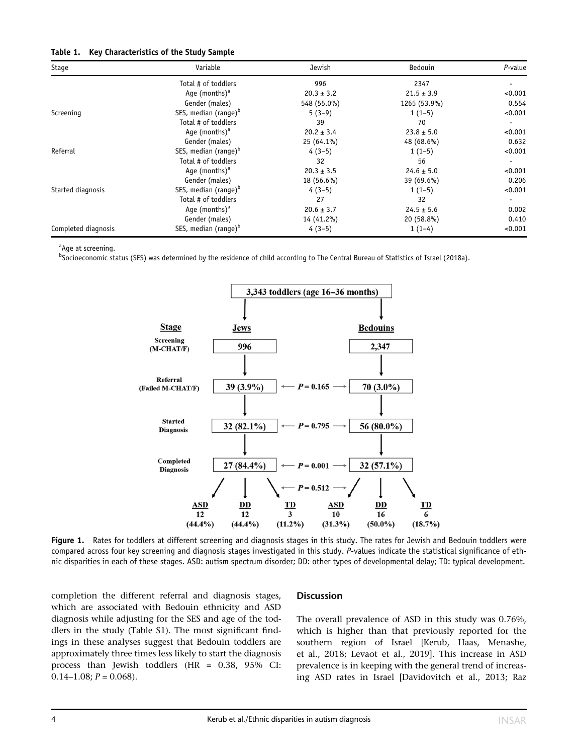#### Table 1. Key Characteristics of the Study Sample

| Stage               | Variable                         | Jewish         | Bedouin        | $P$ -value |
|---------------------|----------------------------------|----------------|----------------|------------|
|                     | Total # of toddlers              | 996            | 2347           |            |
|                     | Age (months) $^a$                | $20.3 \pm 3.2$ | $21.5 \pm 3.9$ | < 0.001    |
|                     | Gender (males)                   | 548 (55.0%)    | 1265 (53.9%)   | 0.554      |
| Screening           | SES, median (range) <sup>b</sup> | $5(3-9)$       | $1(1-5)$       | < 0.001    |
|                     | Total # of toddlers              | 39             | 70             |            |
|                     | Age (months) $^a$                | $20.2 \pm 3.4$ | $23.8 \pm 5.0$ | < 0.001    |
|                     | Gender (males)                   | $25(64.1\%)$   | 48 (68.6%)     | 0.632      |
| Referral            | SES, median (range) <sup>b</sup> | $4(3-5)$       | $1(1-5)$       | < 0.001    |
|                     | Total # of toddlers              | 32             | 56             |            |
|                     | Age (months) $a$                 | $20.3 \pm 3.5$ | $24.6 \pm 5.0$ | < 0.001    |
|                     | Gender (males)                   | 18 (56.6%)     | 39 (69.6%)     | 0.206      |
| Started diagnosis   | SES, median (range) <sup>b</sup> | $4(3-5)$       | $1(1-5)$       | < 0.001    |
|                     | Total # of toddlers              | 27             | 32             |            |
|                     | Age (months) $^a$                | $20.6 \pm 3.7$ | $24.5 \pm 5.6$ | 0.002      |
|                     | Gender (males)                   | 14 (41.2%)     | 20 (58.8%)     | 0.410      |
| Completed diagnosis | SES, median (range) <sup>b</sup> | $4(3-5)$       | $1(1-4)$       | < 0.001    |

<sup>a</sup>Age at screening.

b Socioeconomic status (SES) was determined by the residence of child according to The Central Bureau of Statistics of Israel (2018a).



Figure 1. Rates for toddlers at different screening and diagnosis stages in this study. The rates for Jewish and Bedouin toddlers were compared across four key screening and diagnosis stages investigated in this study. P-values indicate the statistical significance of ethnic disparities in each of these stages. ASD: autism spectrum disorder; DD: other types of developmental delay; TD: typical development.

completion the different referral and diagnosis stages, which are associated with Bedouin ethnicity and ASD diagnosis while adjusting for the SES and age of the toddlers in the study (Table S1). The most significant findings in these analyses suggest that Bedouin toddlers are approximately three times less likely to start the diagnosis process than Jewish toddlers (HR = 0.38, 95% CI:  $0.14-1.08; P = 0.068$ .

# **Discussion**

The overall prevalence of ASD in this study was 0.76%, which is higher than that previously reported for the southern region of Israel [Kerub, Haas, Menashe, et al., 2018; Levaot et al., 2019]. This increase in ASD prevalence is in keeping with the general trend of increasing ASD rates in Israel [Davidovitch et al., 2013; Raz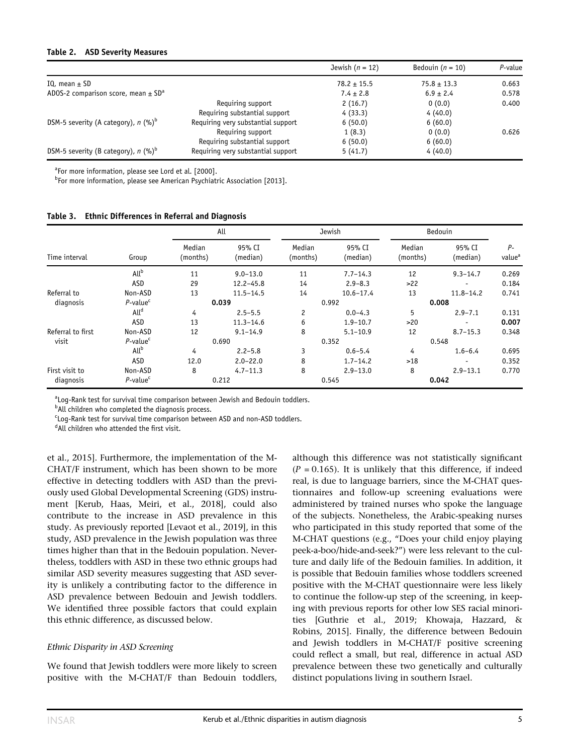#### Table 2. ASD Severity Measures

|                                                     |                                    | Jewish $(n = 12)$ | Bedouin ( $n = 10$ ) | P-value |
|-----------------------------------------------------|------------------------------------|-------------------|----------------------|---------|
| IQ, mean $\pm$ SD                                   |                                    | $78.2 \pm 15.5$   | $75.8 \pm 13.3$      | 0.663   |
| ADOS-2 comparison score, mean $\pm$ SD <sup>a</sup> |                                    | $7.4 \pm 2.8$     | $6.9 \pm 2.4$        | 0.578   |
|                                                     | Requiring support                  | 2(16.7)           | 0(0.0)               | 0.400   |
|                                                     | Requiring substantial support      | 4(33.3)           | 4(40.0)              |         |
| DSM-5 severity (A category), $n$ (%) <sup>p</sup>   | Requiring very substantial support | 6(50.0)           | 6(60.0)              |         |
|                                                     | Requiring support                  | 1(8.3)            | 0(0.0)               | 0.626   |
|                                                     | Requiring substantial support      | 6(50.0)           | 6(60.0)              |         |
| DSM-5 severity (B category), $n$ (%) <sup>p</sup>   | Requiring very substantial support | 5(41.7)           | 4(40.0)              |         |

<sup>a</sup>For more information, please see Lord et al. [2000].

<sup>b</sup>For more information, please see American Psychiatric Association [2013].

Table 3. Ethnic Differences in Referral and Diagnosis

|                   |                         | All                |                    | Jewish             |                    | Bedouin            |                          |                            |
|-------------------|-------------------------|--------------------|--------------------|--------------------|--------------------|--------------------|--------------------------|----------------------------|
| Time interval     | Group                   | Median<br>(months) | 95% CI<br>(median) | Median<br>(months) | 95% CI<br>(median) | Median<br>(months) | 95% CI<br>(median)       | $P-$<br>value <sup>a</sup> |
|                   | All <sup>b</sup>        | 11                 | $9.0 - 13.0$       | 11                 | $7.7 - 14.3$       | 12                 | $9.3 - 14.7$             | 0.269                      |
|                   | ASD                     | 29                 | $12.2 - 45.8$      | 14                 | $2.9 - 8.3$        | >22                | $\overline{\phantom{0}}$ | 0.184                      |
| Referral to       | Non-ASD                 | 13                 | $11.5 - 14.5$      | 14                 | $10.6 - 17.4$      | 13                 | $11.8 - 14.2$            | 0.741                      |
| diagnosis         | $P$ -value <sup>c</sup> |                    | 0.039              |                    | 0.992              |                    | 0.008                    |                            |
|                   | All <sup>d</sup>        | 4                  | $2.5 - 5.5$        | 2                  | $0.0 - 4.3$        | 5                  | $2.9 - 7.1$              | 0.131                      |
|                   | ASD                     | 13                 | $11.3 - 14.6$      | 6                  | $1.9 - 10.7$       | >20                |                          | 0.007                      |
| Referral to first | Non-ASD                 | 12                 | $9.1 - 14.9$       | 8                  | $5.1 - 10.9$       | 12                 | $8.7 - 15.3$             | 0.348                      |
| visit             | $P$ -value $c$          |                    | 0.690              |                    | 0.352              |                    | 0.548                    |                            |
|                   | All <sup>b</sup>        | 4                  | $2.2 - 5.8$        | 3                  | $0.6 - 5.4$        | 4                  | $1.6 - 6.4$              | 0.695                      |
|                   | ASD                     | 12.0               | $2.0 - 22.0$       | 8                  | $1.7 - 14.2$       | >18                |                          | 0.352                      |
| First visit to    | Non-ASD                 | 8                  | $4.7 - 11.3$       | 8                  | $2.9 - 13.0$       | 8                  | $2.9 - 13.1$             | 0.770                      |
| diagnosis         | $P$ -value <sup>c</sup> |                    | 0.212              |                    | 0.545              |                    | 0.042                    |                            |

<sup>a</sup>Log-Rank test for survival time comparison between Jewish and Bedouin toddlers.

<sup>b</sup>All children who completed the diagnosis process.

<sup>c</sup>Log-Rank test for survival time comparison between ASD and non-ASD toddlers.

dAll children who attended the first visit.

et al., 2015]. Furthermore, the implementation of the M-CHAT/F instrument, which has been shown to be more effective in detecting toddlers with ASD than the previously used Global Developmental Screening (GDS) instrument [Kerub, Haas, Meiri, et al., 2018], could also contribute to the increase in ASD prevalence in this study. As previously reported [Levaot et al., 2019], in this study, ASD prevalence in the Jewish population was three times higher than that in the Bedouin population. Nevertheless, toddlers with ASD in these two ethnic groups had similar ASD severity measures suggesting that ASD severity is unlikely a contributing factor to the difference in ASD prevalence between Bedouin and Jewish toddlers. We identified three possible factors that could explain this ethnic difference, as discussed below.

#### Ethnic Disparity in ASD Screening

We found that Jewish toddlers were more likely to screen positive with the M-CHAT/F than Bedouin toddlers, although this difference was not statistically significant  $(P = 0.165)$ . It is unlikely that this difference, if indeed real, is due to language barriers, since the M-CHAT questionnaires and follow-up screening evaluations were administered by trained nurses who spoke the language of the subjects. Nonetheless, the Arabic-speaking nurses who participated in this study reported that some of the M-CHAT questions (e.g., "Does your child enjoy playing peek-a-boo/hide-and-seek?") were less relevant to the culture and daily life of the Bedouin families. In addition, it is possible that Bedouin families whose toddlers screened positive with the M-CHAT questionnaire were less likely to continue the follow-up step of the screening, in keeping with previous reports for other low SES racial minorities [Guthrie et al., 2019; Khowaja, Hazzard, & Robins, 2015]. Finally, the difference between Bedouin and Jewish toddlers in M-CHAT/F positive screening could reflect a small, but real, difference in actual ASD prevalence between these two genetically and culturally distinct populations living in southern Israel.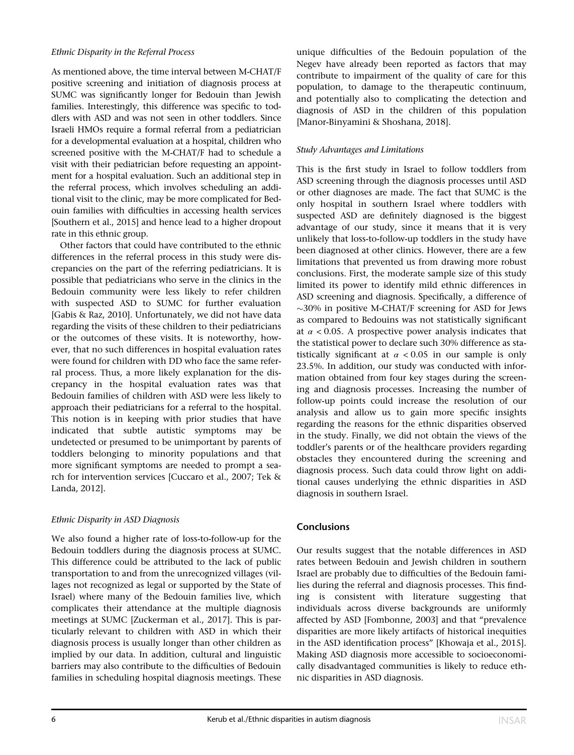## Ethnic Disparity in the Referral Process

As mentioned above, the time interval between M-CHAT/F positive screening and initiation of diagnosis process at SUMC was significantly longer for Bedouin than Jewish families. Interestingly, this difference was specific to toddlers with ASD and was not seen in other toddlers. Since Israeli HMOs require a formal referral from a pediatrician for a developmental evaluation at a hospital, children who screened positive with the M-CHAT/F had to schedule a visit with their pediatrician before requesting an appointment for a hospital evaluation. Such an additional step in the referral process, which involves scheduling an additional visit to the clinic, may be more complicated for Bedouin families with difficulties in accessing health services [Southern et al., 2015] and hence lead to a higher dropout rate in this ethnic group.

Other factors that could have contributed to the ethnic differences in the referral process in this study were discrepancies on the part of the referring pediatricians. It is possible that pediatricians who serve in the clinics in the Bedouin community were less likely to refer children with suspected ASD to SUMC for further evaluation [Gabis & Raz, 2010]. Unfortunately, we did not have data regarding the visits of these children to their pediatricians or the outcomes of these visits. It is noteworthy, however, that no such differences in hospital evaluation rates were found for children with DD who face the same referral process. Thus, a more likely explanation for the discrepancy in the hospital evaluation rates was that Bedouin families of children with ASD were less likely to approach their pediatricians for a referral to the hospital. This notion is in keeping with prior studies that have indicated that subtle autistic symptoms may be undetected or presumed to be unimportant by parents of toddlers belonging to minority populations and that more significant symptoms are needed to prompt a search for intervention services [Cuccaro et al., 2007; Tek & Landa, 2012].

# Ethnic Disparity in ASD Diagnosis

We also found a higher rate of loss-to-follow-up for the Bedouin toddlers during the diagnosis process at SUMC. This difference could be attributed to the lack of public transportation to and from the unrecognized villages (villages not recognized as legal or supported by the State of Israel) where many of the Bedouin families live, which complicates their attendance at the multiple diagnosis meetings at SUMC [Zuckerman et al., 2017]. This is particularly relevant to children with ASD in which their diagnosis process is usually longer than other children as implied by our data. In addition, cultural and linguistic barriers may also contribute to the difficulties of Bedouin families in scheduling hospital diagnosis meetings. These

unique difficulties of the Bedouin population of the Negev have already been reported as factors that may contribute to impairment of the quality of care for this population, to damage to the therapeutic continuum, and potentially also to complicating the detection and diagnosis of ASD in the children of this population [Manor-Binyamini & Shoshana, 2018].

# Study Advantages and Limitations

This is the first study in Israel to follow toddlers from ASD screening through the diagnosis processes until ASD or other diagnoses are made. The fact that SUMC is the only hospital in southern Israel where toddlers with suspected ASD are definitely diagnosed is the biggest advantage of our study, since it means that it is very unlikely that loss-to-follow-up toddlers in the study have been diagnosed at other clinics. However, there are a few limitations that prevented us from drawing more robust conclusions. First, the moderate sample size of this study limited its power to identify mild ethnic differences in ASD screening and diagnosis. Specifically, a difference of  $\sim$ 30% in positive M-CHAT/F screening for ASD for Jews as compared to Bedouins was not statistically significant at  $\alpha$  < 0.05. A prospective power analysis indicates that the statistical power to declare such 30% difference as statistically significant at  $\alpha$  < 0.05 in our sample is only 23.5%. In addition, our study was conducted with information obtained from four key stages during the screening and diagnosis processes. Increasing the number of follow-up points could increase the resolution of our analysis and allow us to gain more specific insights regarding the reasons for the ethnic disparities observed in the study. Finally, we did not obtain the views of the toddler's parents or of the healthcare providers regarding obstacles they encountered during the screening and diagnosis process. Such data could throw light on additional causes underlying the ethnic disparities in ASD diagnosis in southern Israel.

# Conclusions

Our results suggest that the notable differences in ASD rates between Bedouin and Jewish children in southern Israel are probably due to difficulties of the Bedouin families during the referral and diagnosis processes. This finding is consistent with literature suggesting that individuals across diverse backgrounds are uniformly affected by ASD [Fombonne, 2003] and that "prevalence disparities are more likely artifacts of historical inequities in the ASD identification process" [Khowaja et al., 2015]. Making ASD diagnosis more accessible to socioeconomically disadvantaged communities is likely to reduce ethnic disparities in ASD diagnosis.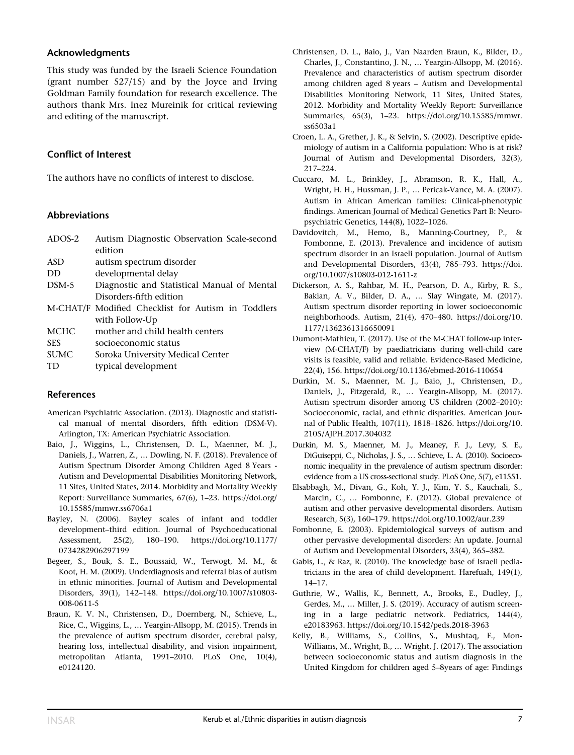# Acknowledgments

This study was funded by the Israeli Science Foundation (grant number 527/15) and by the Joyce and Irving Goldman Family foundation for research excellence. The authors thank Mrs. Inez Mureinik for critical reviewing and editing of the manuscript.

# Conflict of Interest

The authors have no conflicts of interest to disclose.

# Abbreviations

| $ADOS-2$    | Autism Diagnostic Observation Scale-second         |  |  |
|-------------|----------------------------------------------------|--|--|
|             | edition                                            |  |  |
| <b>ASD</b>  | autism spectrum disorder                           |  |  |
| DD          | developmental delay                                |  |  |
| DSM-5       | Diagnostic and Statistical Manual of Mental        |  |  |
|             | Disorders-fifth edition                            |  |  |
|             | M-CHAT/F Modified Checklist for Autism in Toddlers |  |  |
|             | with Follow-Up                                     |  |  |
| <b>MCHC</b> | mother and child health centers                    |  |  |
| <b>SES</b>  | socioeconomic status                               |  |  |
| <b>SUMC</b> | Soroka University Medical Center                   |  |  |
| TD          | typical development                                |  |  |

# References

- American Psychiatric Association. (2013). Diagnostic and statistical manual of mental disorders, fifth edition (DSM-V). Arlington, TX: American Psychiatric Association.
- Baio, J., Wiggins, L., Christensen, D. L., Maenner, M. J., Daniels, J., Warren, Z., … Dowling, N. F. (2018). Prevalence of Autism Spectrum Disorder Among Children Aged 8 Years - Autism and Developmental Disabilities Monitoring Network, 11 Sites, United States, 2014. Morbidity and Mortality Weekly Report: Surveillance Summaries, 67(6), 1–23. [https://doi.org/](https://doi.org/10.15585/mmwr.ss6706a1) [10.15585/mmwr.ss6706a1](https://doi.org/10.15585/mmwr.ss6706a1)
- Bayley, N. (2006). Bayley scales of infant and toddler development–third edition. Journal of Psychoeducational Assessment, 25(2), 180–190. [https://doi.org/10.1177/](https://doi.org/10.1177/0734282906297199) [0734282906297199](https://doi.org/10.1177/0734282906297199)
- Begeer, S., Bouk, S. E., Boussaid, W., Terwogt, M. M., & Koot, H. M. (2009). Underdiagnosis and referral bias of autism in ethnic minorities. Journal of Autism and Developmental Disorders, 39(1), 142–148. [https://doi.org/10.1007/s10803-](https://doi.org/10.1007/s10803-008-0611-5) [008-0611-5](https://doi.org/10.1007/s10803-008-0611-5)
- Braun, K. V. N., Christensen, D., Doernberg, N., Schieve, L., Rice, C., Wiggins, L., … Yeargin-Allsopp, M. (2015). Trends in the prevalence of autism spectrum disorder, cerebral palsy, hearing loss, intellectual disability, and vision impairment, metropolitan Atlanta, 1991–2010. PLoS One, 10(4), e0124120.
- Christensen, D. L., Baio, J., Van Naarden Braun, K., Bilder, D., Charles, J., Constantino, J. N., … Yeargin-Allsopp, M. (2016). Prevalence and characteristics of autism spectrum disorder among children aged 8 years – Autism and Developmental Disabilities Monitoring Network, 11 Sites, United States, 2012. Morbidity and Mortality Weekly Report: Surveillance Summaries, 65(3), 1–23. [https://doi.org/10.15585/mmwr.](https://doi.org/10.15585/mmwr.ss6503a1) [ss6503a1](https://doi.org/10.15585/mmwr.ss6503a1)
- Croen, L. A., Grether, J. K., & Selvin, S. (2002). Descriptive epidemiology of autism in a California population: Who is at risk? Journal of Autism and Developmental Disorders, 32(3), 217–224.
- Cuccaro, M. L., Brinkley, J., Abramson, R. K., Hall, A., Wright, H. H., Hussman, J. P., … Pericak-Vance, M. A. (2007). Autism in African American families: Clinical-phenotypic findings. American Journal of Medical Genetics Part B: Neuropsychiatric Genetics, 144(8), 1022–1026.
- Davidovitch, M., Hemo, B., Manning-Courtney, P., & Fombonne, E. (2013). Prevalence and incidence of autism spectrum disorder in an Israeli population. Journal of Autism and Developmental Disorders, 43(4), 785–793. [https://doi.](https://doi.org/10.1007/s10803-012-1611-z) [org/10.1007/s10803-012-1611-z](https://doi.org/10.1007/s10803-012-1611-z)
- Dickerson, A. S., Rahbar, M. H., Pearson, D. A., Kirby, R. S., Bakian, A. V., Bilder, D. A., … Slay Wingate, M. (2017). Autism spectrum disorder reporting in lower socioeconomic neighborhoods. Autism, 21(4), 470–480. [https://doi.org/10.](https://doi.org/10.1177/1362361316650091) [1177/1362361316650091](https://doi.org/10.1177/1362361316650091)
- Dumont-Mathieu, T. (2017). Use of the M-CHAT follow-up interview (M-CHAT/F) by paediatricians during well-child care visits is feasible, valid and reliable. Evidence-Based Medicine, 22(4), 156.<https://doi.org/10.1136/ebmed-2016-110654>
- Durkin, M. S., Maenner, M. J., Baio, J., Christensen, D., Daniels, J., Fitzgerald, R., … Yeargin-Allsopp, M. (2017). Autism spectrum disorder among US children (2002–2010): Socioeconomic, racial, and ethnic disparities. American Journal of Public Health, 107(11), 1818–1826. [https://doi.org/10.](https://doi.org/10.2105/AJPH.2017.304032) [2105/AJPH.2017.304032](https://doi.org/10.2105/AJPH.2017.304032)
- Durkin, M. S., Maenner, M. J., Meaney, F. J., Levy, S. E., DiGuiseppi, C., Nicholas, J. S., … Schieve, L. A. (2010). Socioeconomic inequality in the prevalence of autism spectrum disorder: evidence from a US cross-sectional study. PLoS One, 5(7), e11551.
- Elsabbagh, M., Divan, G., Koh, Y. J., Kim, Y. S., Kauchali, S., Marcin, C., … Fombonne, E. (2012). Global prevalence of autism and other pervasive developmental disorders. Autism Research, 5(3), 160–179.<https://doi.org/10.1002/aur.239>
- Fombonne, E. (2003). Epidemiological surveys of autism and other pervasive developmental disorders: An update. Journal of Autism and Developmental Disorders, 33(4), 365–382.
- Gabis, L., & Raz, R. (2010). The knowledge base of Israeli pediatricians in the area of child development. Harefuah, 149(1), 14–17.
- Guthrie, W., Wallis, K., Bennett, A., Brooks, E., Dudley, J., Gerdes, M., … Miller, J. S. (2019). Accuracy of autism screening in a large pediatric network. Pediatrics, 144(4), e20183963.<https://doi.org/10.1542/peds.2018-3963>
- Kelly, B., Williams, S., Collins, S., Mushtaq, F., Mon-Williams, M., Wright, B., … Wright, J. (2017). The association between socioeconomic status and autism diagnosis in the United Kingdom for children aged 5–8years of age: Findings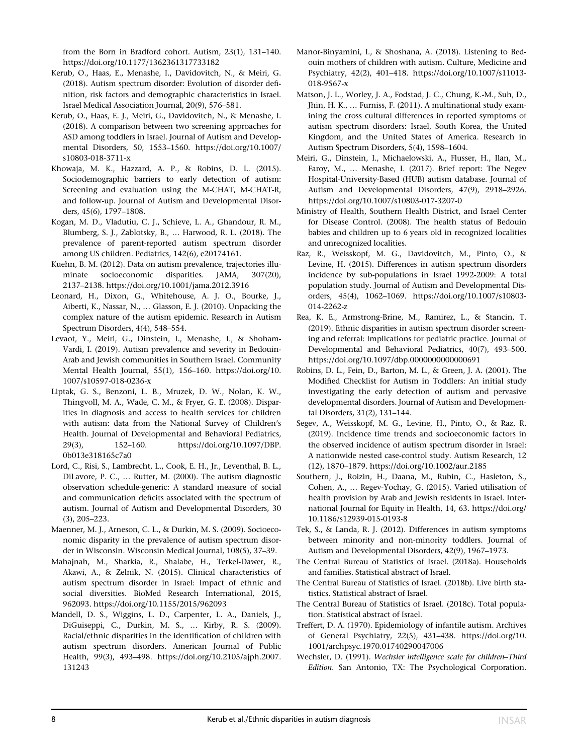from the Born in Bradford cohort. Autism, 23(1), 131–140. <https://doi.org/10.1177/1362361317733182>

- Kerub, O., Haas, E., Menashe, I., Davidovitch, N., & Meiri, G. (2018). Autism spectrum disorder: Evolution of disorder definition, risk factors and demographic characteristics in Israel. Israel Medical Association Journal, 20(9), 576–581.
- Kerub, O., Haas, E. J., Meiri, G., Davidovitch, N., & Menashe, I. (2018). A comparison between two screening approaches for ASD among toddlers in Israel. Journal of Autism and Developmental Disorders, 50, 1553–1560. [https://doi.org/10.1007/](https://doi.org/10.1007/s10803-018-3711-x) [s10803-018-3711-x](https://doi.org/10.1007/s10803-018-3711-x)
- Khowaja, M. K., Hazzard, A. P., & Robins, D. L. (2015). Sociodemographic barriers to early detection of autism: Screening and evaluation using the M-CHAT, M-CHAT-R, and follow-up. Journal of Autism and Developmental Disorders, 45(6), 1797–1808.
- Kogan, M. D., Vladutiu, C. J., Schieve, L. A., Ghandour, R. M., Blumberg, S. J., Zablotsky, B., … Harwood, R. L. (2018). The prevalence of parent-reported autism spectrum disorder among US children. Pediatrics, 142(6), e20174161.
- Kuehn, B. M. (2012). Data on autism prevalence, trajectories illuminate socioeconomic disparities. JAMA, 307(20), 2137–2138.<https://doi.org/10.1001/jama.2012.3916>
- Leonard, H., Dixon, G., Whitehouse, A. J. O., Bourke, J., Aiberti, K., Nassar, N., … Glasson, E. J. (2010). Unpacking the complex nature of the autism epidemic. Research in Autism Spectrum Disorders, 4(4), 548–554.
- Levaot, Y., Meiri, G., Dinstein, I., Menashe, I., & Shoham-Vardi, I. (2019). Autism prevalence and severity in Bedouin-Arab and Jewish communities in Southern Israel. Community Mental Health Journal, 55(1), 156–160. [https://doi.org/10.](https://doi.org/10.1007/s10597-018-0236-x) [1007/s10597-018-0236-x](https://doi.org/10.1007/s10597-018-0236-x)
- Liptak, G. S., Benzoni, L. B., Mruzek, D. W., Nolan, K. W., Thingvoll, M. A., Wade, C. M., & Fryer, G. E. (2008). Disparities in diagnosis and access to health services for children with autism: data from the National Survey of Children's Health. Journal of Developmental and Behavioral Pediatrics, 29(3), 152–160. [https://doi.org/10.1097/DBP.](https://doi.org/10.1097/DBP.0b013e318165c7a0) [0b013e318165c7a0](https://doi.org/10.1097/DBP.0b013e318165c7a0)
- Lord, C., Risi, S., Lambrecht, L., Cook, E. H., Jr., Leventhal, B. L., DiLavore, P. C., … Rutter, M. (2000). The autism diagnostic observation schedule-generic: A standard measure of social and communication deficits associated with the spectrum of autism. Journal of Autism and Developmental Disorders, 30 (3), 205–223.
- Maenner, M. J., Arneson, C. L., & Durkin, M. S. (2009). Socioeconomic disparity in the prevalence of autism spectrum disorder in Wisconsin. Wisconsin Medical Journal, 108(5), 37–39.
- Mahajnah, M., Sharkia, R., Shalabe, H., Terkel-Dawer, R., Akawi, A., & Zelnik, N. (2015). Clinical characteristics of autism spectrum disorder in Israel: Impact of ethnic and social diversities. BioMed Research International, 2015, 962093.<https://doi.org/10.1155/2015/962093>
- Mandell, D. S., Wiggins, L. D., Carpenter, L. A., Daniels, J., DiGuiseppi, C., Durkin, M. S., … Kirby, R. S. (2009). Racial/ethnic disparities in the identification of children with autism spectrum disorders. American Journal of Public Health, 99(3), 493–498. [https://doi.org/10.2105/ajph.2007.](https://doi.org/10.2105/ajph.2007.131243) [131243](https://doi.org/10.2105/ajph.2007.131243)
- Manor-Binyamini, I., & Shoshana, A. (2018). Listening to Bedouin mothers of children with autism. Culture, Medicine and Psychiatry, 42(2), 401–418. [https://doi.org/10.1007/s11013-](https://doi.org/10.1007/s11013-018-9567-x) [018-9567-x](https://doi.org/10.1007/s11013-018-9567-x)
- Matson, J. L., Worley, J. A., Fodstad, J. C., Chung, K.-M., Suh, D., Jhin, H. K., … Furniss, F. (2011). A multinational study examining the cross cultural differences in reported symptoms of autism spectrum disorders: Israel, South Korea, the United Kingdom, and the United States of America. Research in Autism Spectrum Disorders, 5(4), 1598–1604.
- Meiri, G., Dinstein, I., Michaelowski, A., Flusser, H., Ilan, M., Faroy, M., … Menashe, I. (2017). Brief report: The Negev Hospital-University-Based (HUB) autism database. Journal of Autism and Developmental Disorders, 47(9), 2918–2926. <https://doi.org/10.1007/s10803-017-3207-0>
- Ministry of Health, Southern Health District, and Israel Center for Disease Control. (2008). The health status of Bedouin babies and children up to 6 years old in recognized localities and unrecognized localities.
- Raz, R., Weisskopf, M. G., Davidovitch, M., Pinto, O., & Levine, H. (2015). Differences in autism spectrum disorders incidence by sub-populations in Israel 1992-2009: A total population study. Journal of Autism and Developmental Disorders, 45(4), 1062–1069. [https://doi.org/10.1007/s10803-](https://doi.org/10.1007/s10803-014-2262-z) [014-2262-z](https://doi.org/10.1007/s10803-014-2262-z)
- Rea, K. E., Armstrong-Brine, M., Ramirez, L., & Stancin, T. (2019). Ethnic disparities in autism spectrum disorder screening and referral: Implications for pediatric practice. Journal of Developmental and Behavioral Pediatrics, 40(7), 493–500. <https://doi.org/10.1097/dbp.0000000000000691>
- Robins, D. L., Fein, D., Barton, M. L., & Green, J. A. (2001). The Modified Checklist for Autism in Toddlers: An initial study investigating the early detection of autism and pervasive developmental disorders. Journal of Autism and Developmental Disorders, 31(2), 131–144.
- Segev, A., Weisskopf, M. G., Levine, H., Pinto, O., & Raz, R. (2019). Incidence time trends and socioeconomic factors in the observed incidence of autism spectrum disorder in Israel: A nationwide nested case-control study. Autism Research, 12 (12), 1870–1879.<https://doi.org/10.1002/aur.2185>
- Southern, J., Roizin, H., Daana, M., Rubin, C., Hasleton, S., Cohen, A., … Regev-Yochay, G. (2015). Varied utilisation of health provision by Arab and Jewish residents in Israel. International Journal for Equity in Health, 14, 63. [https://doi.org/](https://doi.org/10.1186/s12939-015-0193-8) [10.1186/s12939-015-0193-8](https://doi.org/10.1186/s12939-015-0193-8)
- Tek, S., & Landa, R. J. (2012). Differences in autism symptoms between minority and non-minority toddlers. Journal of Autism and Developmental Disorders, 42(9), 1967–1973.
- The Central Bureau of Statistics of Israel. (2018a). Households and families. Statistical abstract of Israel.
- The Central Bureau of Statistics of Israel. (2018b). Live birth statistics. Statistical abstract of Israel.
- The Central Bureau of Statistics of Israel. (2018c). Total population. Statistical abstract of Israel.
- Treffert, D. A. (1970). Epidemiology of infantile autism. Archives of General Psychiatry, 22(5), 431–438. [https://doi.org/10.](https://doi.org/10.1001/archpsyc.1970.01740290047006) [1001/archpsyc.1970.01740290047006](https://doi.org/10.1001/archpsyc.1970.01740290047006)
- Wechsler, D. (1991). Wechsler intelligence scale for children–Third Edition. San Antonio, TX: The Psychological Corporation.